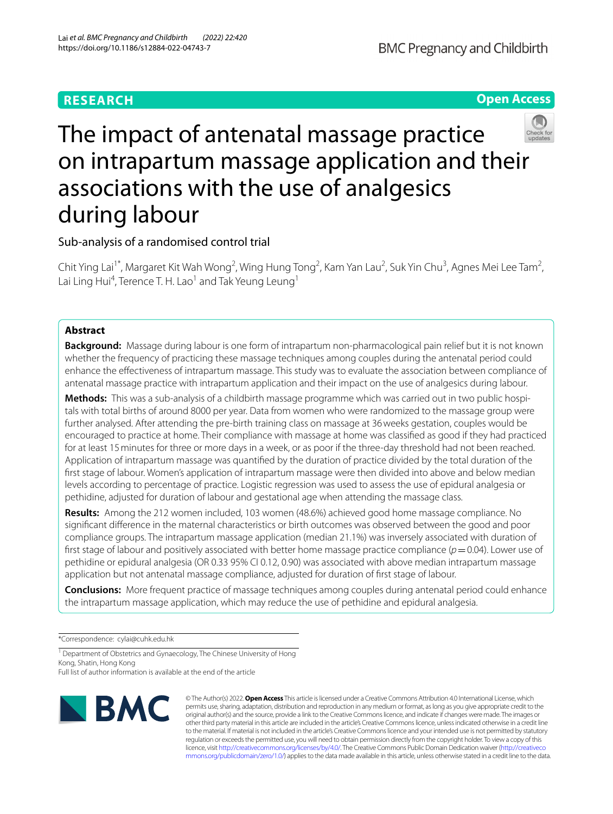## **RESEARCH**

during labour

Sub-analysis of a randomised control trial

Lai Ling Hui<sup>4</sup>, Terence T. H. Lao $^1$  and Tak Yeung Leung $^1$ 

# The impact of antenatal massage practice on intrapartum massage application and their

associations with the use of analgesics



## **Abstract**

**Background:** Massage during labour is one form of intrapartum non-pharmacological pain relief but it is not known whether the frequency of practicing these massage techniques among couples during the antenatal period could enhance the efectiveness of intrapartum massage. This study was to evaluate the association between compliance of antenatal massage practice with intrapartum application and their impact on the use of analgesics during labour.

Chit Ying Lai<sup>1\*</sup>, Margaret Kit Wah Wong<sup>2</sup>, Wing Hung Tong<sup>2</sup>, Kam Yan Lau<sup>2</sup>, Suk Yin Chu<sup>3</sup>, Agnes Mei Lee Tam<sup>2</sup>,

**Methods:** This was a sub-analysis of a childbirth massage programme which was carried out in two public hospitals with total births of around 8000 per year. Data from women who were randomized to the massage group were further analysed. After attending the pre-birth training class on massage at 36weeks gestation, couples would be encouraged to practice at home. Their compliance with massage at home was classifed as good if they had practiced for at least 15minutes for three or more days in a week, or as poor if the three-day threshold had not been reached. Application of intrapartum massage was quantifed by the duration of practice divided by the total duration of the frst stage of labour. Women's application of intrapartum massage were then divided into above and below median levels according to percentage of practice. Logistic regression was used to assess the use of epidural analgesia or pethidine, adjusted for duration of labour and gestational age when attending the massage class.

**Results:** Among the 212 women included, 103 women (48.6%) achieved good home massage compliance. No signifcant diference in the maternal characteristics or birth outcomes was observed between the good and poor compliance groups. The intrapartum massage application (median 21.1%) was inversely associated with duration of first stage of labour and positively associated with better home massage practice compliance  $(p=0.04)$ . Lower use of pethidine or epidural analgesia (OR 0.33 95% CI 0.12, 0.90) was associated with above median intrapartum massage application but not antenatal massage compliance, adjusted for duration of frst stage of labour.

**Conclusions:** More frequent practice of massage techniques among couples during antenatal period could enhance the intrapartum massage application, which may reduce the use of pethidine and epidural analgesia.

\*Correspondence: cylai@cuhk.edu.hk

<sup>1</sup> Department of Obstetrics and Gynaecology, The Chinese University of Hong Kong, Shatin, Hong Kong

Full list of author information is available at the end of the article



© The Author(s) 2022. **Open Access** This article is licensed under a Creative Commons Attribution 4.0 International License, which permits use, sharing, adaptation, distribution and reproduction in any medium or format, as long as you give appropriate credit to the original author(s) and the source, provide a link to the Creative Commons licence, and indicate if changes were made. The images or other third party material in this article are included in the article's Creative Commons licence, unless indicated otherwise in a credit line to the material. If material is not included in the article's Creative Commons licence and your intended use is not permitted by statutory regulation or exceeds the permitted use, you will need to obtain permission directly from the copyright holder. To view a copy of this licence, visit [http://creativecommons.org/licenses/by/4.0/.](http://creativecommons.org/licenses/by/4.0/) The Creative Commons Public Domain Dedication waiver ([http://creativeco](http://creativecommons.org/publicdomain/zero/1.0/) [mmons.org/publicdomain/zero/1.0/](http://creativecommons.org/publicdomain/zero/1.0/)) applies to the data made available in this article, unless otherwise stated in a credit line to the data.

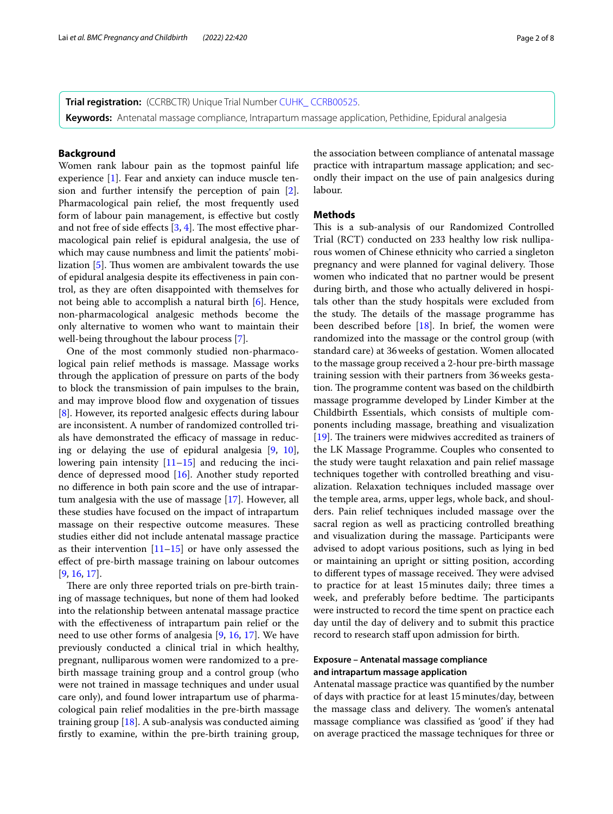**Trial registration:** (CCRBCTR) Unique Trial Number CUHK CCRB00525.

**Keywords:** Antenatal massage compliance, Intrapartum massage application, Pethidine, Epidural analgesia

#### **Background**

Women rank labour pain as the topmost painful life experience [\[1](#page-6-0)]. Fear and anxiety can induce muscle tension and further intensify the perception of pain [\[2](#page-6-1)]. Pharmacological pain relief, the most frequently used form of labour pain management, is efective but costly and not free of side effects  $[3, 4]$  $[3, 4]$  $[3, 4]$ . The most effective pharmacological pain relief is epidural analgesia, the use of which may cause numbness and limit the patients' mobilization  $[5]$  $[5]$ . Thus women are ambivalent towards the use of epidural analgesia despite its efectiveness in pain control, as they are often disappointed with themselves for not being able to accomplish a natural birth [\[6](#page-6-5)]. Hence, non-pharmacological analgesic methods become the only alternative to women who want to maintain their well-being throughout the labour process [[7\]](#page-6-6).

One of the most commonly studied non-pharmacological pain relief methods is massage. Massage works through the application of pressure on parts of the body to block the transmission of pain impulses to the brain, and may improve blood flow and oxygenation of tissues [[8\]](#page-6-7). However, its reported analgesic effects during labour are inconsistent. A number of randomized controlled trials have demonstrated the efficacy of massage in reducing or delaying the use of epidural analgesia [[9,](#page-6-8) [10](#page-6-9)], lowering pain intensity  $[11–15]$  $[11–15]$  $[11–15]$  $[11–15]$  and reducing the incidence of depressed mood [[16\]](#page-7-1). Another study reported no diference in both pain score and the use of intrapartum analgesia with the use of massage [\[17](#page-7-2)]. However, all these studies have focused on the impact of intrapartum massage on their respective outcome measures. These studies either did not include antenatal massage practice as their intervention [[11–](#page-6-10)[15](#page-7-0)] or have only assessed the efect of pre-birth massage training on labour outcomes [[9,](#page-6-8) [16](#page-7-1), [17\]](#page-7-2).

There are only three reported trials on pre-birth training of massage techniques, but none of them had looked into the relationship between antenatal massage practice with the efectiveness of intrapartum pain relief or the need to use other forms of analgesia [\[9](#page-6-8), [16](#page-7-1), [17](#page-7-2)]. We have previously conducted a clinical trial in which healthy, pregnant, nulliparous women were randomized to a prebirth massage training group and a control group (who were not trained in massage techniques and under usual care only), and found lower intrapartum use of pharmacological pain relief modalities in the pre-birth massage training group [[18\]](#page-7-3). A sub-analysis was conducted aiming frstly to examine, within the pre-birth training group, the association between compliance of antenatal massage practice with intrapartum massage application; and secondly their impact on the use of pain analgesics during labour.

## **Methods**

This is a sub-analysis of our Randomized Controlled Trial (RCT) conducted on 233 healthy low risk nulliparous women of Chinese ethnicity who carried a singleton pregnancy and were planned for vaginal delivery. Those women who indicated that no partner would be present during birth, and those who actually delivered in hospitals other than the study hospitals were excluded from the study. The details of the massage programme has been described before [\[18](#page-7-3)]. In brief, the women were randomized into the massage or the control group (with standard care) at 36weeks of gestation. Women allocated to the massage group received a 2-hour pre-birth massage training session with their partners from 36weeks gestation. The programme content was based on the childbirth massage programme developed by Linder Kimber at the Childbirth Essentials, which consists of multiple components including massage, breathing and visualization  $[19]$  $[19]$ . The trainers were midwives accredited as trainers of the LK Massage Programme. Couples who consented to the study were taught relaxation and pain relief massage techniques together with controlled breathing and visualization. Relaxation techniques included massage over the temple area, arms, upper legs, whole back, and shoulders. Pain relief techniques included massage over the sacral region as well as practicing controlled breathing and visualization during the massage. Participants were advised to adopt various positions, such as lying in bed or maintaining an upright or sitting position, according to different types of massage received. They were advised to practice for at least 15minutes daily; three times a week, and preferably before bedtime. The participants were instructed to record the time spent on practice each day until the day of delivery and to submit this practice record to research staff upon admission for birth.

## **Exposure – Antenatal massage compliance and intrapartum massage application**

Antenatal massage practice was quantifed by the number of days with practice for at least 15minutes/day, between the massage class and delivery. The women's antenatal massage compliance was classifed as 'good' if they had on average practiced the massage techniques for three or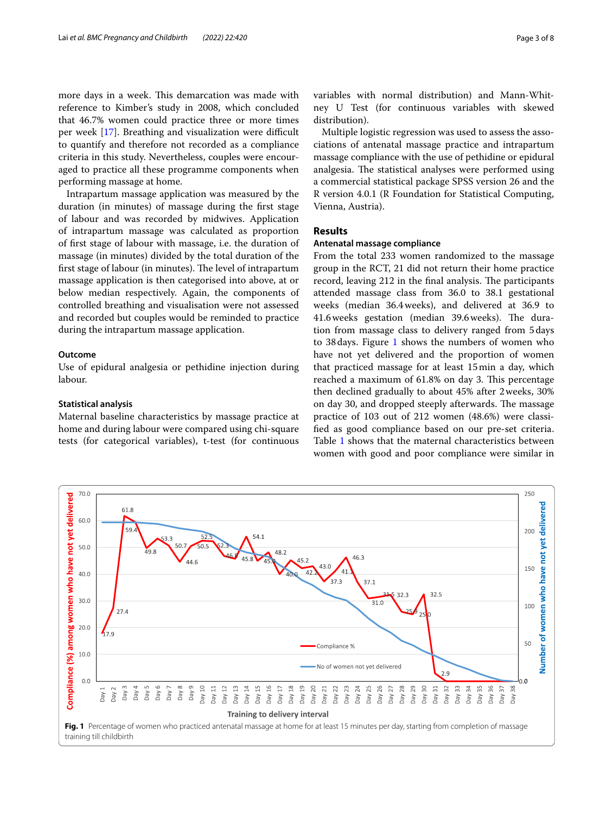more days in a week. This demarcation was made with reference to Kimber's study in 2008, which concluded that 46.7% women could practice three or more times per week  $[17]$  $[17]$ . Breathing and visualization were difficult to quantify and therefore not recorded as a compliance criteria in this study. Nevertheless, couples were encouraged to practice all these programme components when performing massage at home.

Intrapartum massage application was measured by the duration (in minutes) of massage during the frst stage of labour and was recorded by midwives. Application of intrapartum massage was calculated as proportion of frst stage of labour with massage, i.e. the duration of massage (in minutes) divided by the total duration of the first stage of labour (in minutes). The level of intrapartum massage application is then categorised into above, at or below median respectively. Again, the components of controlled breathing and visualisation were not assessed and recorded but couples would be reminded to practice during the intrapartum massage application.

#### **Outcome**

Use of epidural analgesia or pethidine injection during labour.

#### **Statistical analysis**

Maternal baseline characteristics by massage practice at home and during labour were compared using chi-square tests (for categorical variables), t-test (for continuous variables with normal distribution) and Mann-Whitney U Test (for continuous variables with skewed distribution).

Multiple logistic regression was used to assess the associations of antenatal massage practice and intrapartum massage compliance with the use of pethidine or epidural analgesia. The statistical analyses were performed using a commercial statistical package SPSS version 26 and the R version 4.0.1 (R Foundation for Statistical Computing, Vienna, Austria).

## **Results**

#### **Antenatal massage compliance**

From the total 233 women randomized to the massage group in the RCT, 21 did not return their home practice record, leaving 212 in the final analysis. The participants attended massage class from 36.0 to 38.1 gestational weeks (median 36.4weeks), and delivered at 36.9 to 41.6 weeks gestation (median 39.6 weeks). The duration from massage class to delivery ranged from 5days to 38 days. Figure [1](#page-2-0) shows the numbers of women who have not yet delivered and the proportion of women that practiced massage for at least 15min a day, which reached a maximum of 61.8% on day 3. This percentage then declined gradually to about 45% after 2weeks, 30% on day 30, and dropped steeply afterwards. The massage practice of 103 out of 212 women (48.6%) were classifed as good compliance based on our pre-set criteria. Table [1](#page-3-0) shows that the maternal characteristics between women with good and poor compliance were similar in

<span id="page-2-0"></span>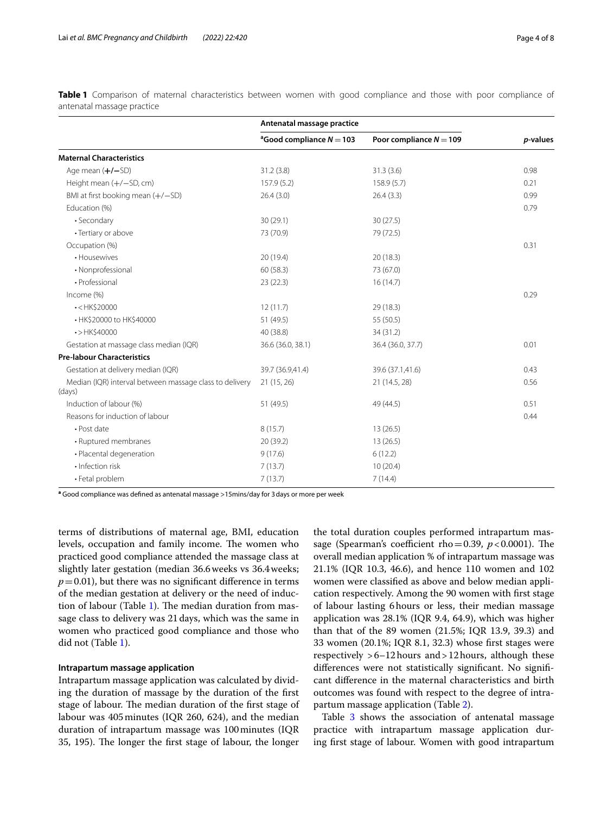|                                                                                     | Antenatal massage practice             |                           |          |
|-------------------------------------------------------------------------------------|----------------------------------------|---------------------------|----------|
|                                                                                     | <sup>a</sup> Good compliance $N = 103$ | Poor compliance $N = 109$ | p-values |
| <b>Maternal Characteristics</b>                                                     |                                        |                           |          |
| Age mean $(+/-SD)$                                                                  | 31.2(3.8)                              | 31.3(3.6)                 | 0.98     |
| Height mean (+/-SD, cm)                                                             | 157.9(5.2)                             | 158.9(5.7)                | 0.21     |
| BMI at first booking mean $(+/-SD)$                                                 | 26.4(3.0)                              | 26.4(3.3)                 | 0.99     |
| Education (%)                                                                       |                                        |                           | 0.79     |
| · Secondary                                                                         | 30(29.1)                               | 30(27.5)                  |          |
| • Tertiary or above                                                                 | 73 (70.9)                              | 79 (72.5)                 |          |
| Occupation (%)                                                                      |                                        |                           | 0.31     |
| • Housewives                                                                        | 20 (19.4)                              | 20(18.3)                  |          |
| • Nonprofessional                                                                   | 60(58.3)                               | 73 (67.0)                 |          |
| · Professional                                                                      | 23(22.3)                               | 16(14.7)                  |          |
| Income (%)                                                                          |                                        |                           | 0.29     |
| $\cdot$ <hk\$20000< td=""><td>12(11.7)</td><td>29 (18.3)</td><td></td></hk\$20000<> | 12(11.7)                               | 29 (18.3)                 |          |
| • HK\$20000 to HK\$40000                                                            | 51 (49.5)                              | 55 (50.5)                 |          |
| $\cdot$ >HK\$40000                                                                  | 40 (38.8)                              | 34 (31.2)                 |          |
| Gestation at massage class median (IQR)                                             | 36.6 (36.0, 38.1)                      | 36.4 (36.0, 37.7)         | 0.01     |
| <b>Pre-labour Characteristics</b>                                                   |                                        |                           |          |
| Gestation at delivery median (IQR)                                                  | 39.7 (36.9,41.4)                       | 39.6 (37.1,41.6)          | 0.43     |
| Median (IQR) interval between massage class to delivery<br>(days)                   | 21(15, 26)                             | 21 (14.5, 28)             | 0.56     |
| Induction of labour (%)                                                             | 51 (49.5)                              | 49 (44.5)                 | 0.51     |
| Reasons for induction of labour                                                     |                                        |                           | 0.44     |
| · Post date                                                                         | 8(15.7)                                | 13(26.5)                  |          |
| • Ruptured membranes                                                                | 20(39.2)                               | 13(26.5)                  |          |
| · Placental degeneration                                                            | 9(17.6)                                | 6(12.2)                   |          |
| · Infection risk                                                                    | 7(13.7)                                | 10(20.4)                  |          |
| • Fetal problem                                                                     | 7(13.7)                                | 7(14.4)                   |          |

<span id="page-3-0"></span>**Table 1** Comparison of maternal characteristics between women with good compliance and those with poor compliance of antenatal massage practice

**a** Good compliance was defned as antenatal massage >15mins/day for 3days or more per week

terms of distributions of maternal age, BMI, education levels, occupation and family income. The women who practiced good compliance attended the massage class at slightly later gestation (median 36.6weeks vs 36.4weeks;  $p=0.01$ ), but there was no significant difference in terms of the median gestation at delivery or the need of induc-tion of labour (Table [1](#page-3-0)). The median duration from massage class to delivery was 21days, which was the same in women who practiced good compliance and those who did not (Table [1](#page-3-0)).

#### **Intrapartum massage application**

Intrapartum massage application was calculated by dividing the duration of massage by the duration of the frst stage of labour. The median duration of the first stage of labour was 405minutes (IQR 260, 624), and the median duration of intrapartum massage was 100minutes (IQR 35, 195). The longer the first stage of labour, the longer the total duration couples performed intrapartum massage (Spearman's coefficient rho=0.39,  $p < 0.0001$ ). The overall median application % of intrapartum massage was 21.1% (IQR 10.3, 46.6), and hence 110 women and 102 women were classifed as above and below median application respectively. Among the 90 women with frst stage of labour lasting 6hours or less, their median massage application was 28.1% (IQR 9.4, 64.9), which was higher than that of the 89 women (21.5%; IQR 13.9, 39.3) and 33 women (20.1%; IQR 8.1, 32.3) whose frst stages were respectively >6–12hours and>12hours, although these diferences were not statistically signifcant. No signifcant diference in the maternal characteristics and birth outcomes was found with respect to the degree of intrapartum massage application (Table [2](#page-4-0)).

Table [3](#page-4-1) shows the association of antenatal massage practice with intrapartum massage application during frst stage of labour. Women with good intrapartum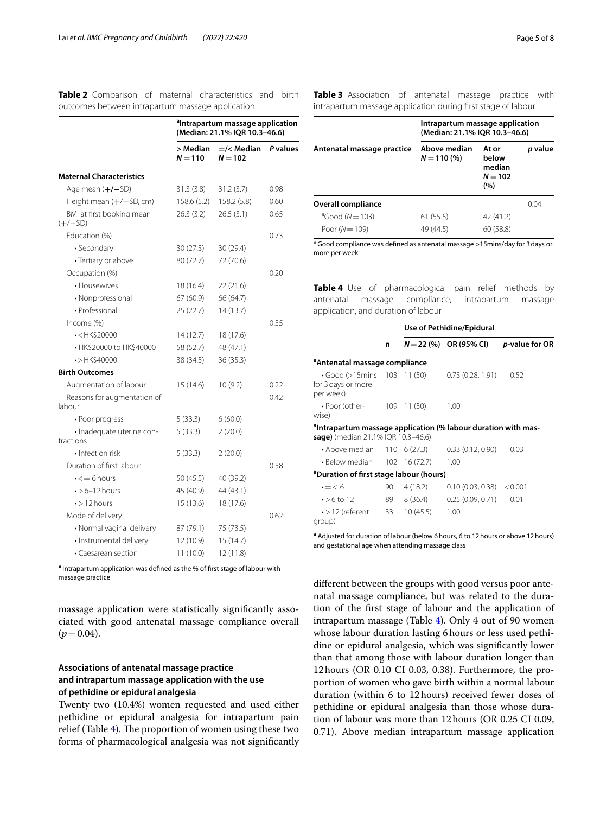|                                                                                      | <sup>a</sup> Intrapartum massage application<br>(Median: 21.1% IQR 10.3-46.6) |                               |          |
|--------------------------------------------------------------------------------------|-------------------------------------------------------------------------------|-------------------------------|----------|
|                                                                                      | > Median<br>$N = 110$                                                         | $=\times$ Median<br>$N = 102$ | P values |
| <b>Maternal Characteristics</b>                                                      |                                                                               |                               |          |
| Age mean (+/-SD)                                                                     | 31.3(3.8)                                                                     | 31.2(3.7)                     | 0.98     |
| Height mean (+/-SD, cm)                                                              | 158.6(5.2)                                                                    | 158.2 (5.8)                   | 0.60     |
| BMI at first booking mean<br>$(+/-SD)$                                               | 26.3(3.2)                                                                     | 26.5(3.1)                     | 0.65     |
| Education (%)                                                                        |                                                                               |                               | 0.73     |
| • Secondary                                                                          | 30(27.3)                                                                      | 30 (29.4)                     |          |
| • Tertiary or above                                                                  | 80 (72.7)                                                                     | 72 (70.6)                     |          |
| Occupation (%)                                                                       |                                                                               |                               | 0.20     |
| • Housewives                                                                         | 18 (16.4)                                                                     | 22 (21.6)                     |          |
| · Nonprofessional                                                                    | 67 (60.9)                                                                     | 66 (64.7)                     |          |
| • Professional                                                                       | 25(22.7)                                                                      | 14(13.7)                      |          |
| Income (%)                                                                           |                                                                               |                               | 0.55     |
| $\cdot$ <hk\$20000< td=""><td>14 (12.7)</td><td>18 (17.6)</td><td></td></hk\$20000<> | 14 (12.7)                                                                     | 18 (17.6)                     |          |
| • HK\$20000 to HK\$40000                                                             | 58 (52.7)                                                                     | 48 (47.1)                     |          |
| $\cdot$ >HK\$40000                                                                   | 38 (34.5)                                                                     | 36(35.3)                      |          |
| <b>Birth Outcomes</b>                                                                |                                                                               |                               |          |
| Augmentation of labour                                                               | 15 (14.6)                                                                     | 10(9.2)                       | 0.22     |
| Reasons for augmentation of<br>labour                                                |                                                                               |                               | 0.42     |
| • Poor progress                                                                      | 5(33.3)                                                                       | 6(60.0)                       |          |
| · Inadequate uterine con-<br>tractions                                               | 5(33.3)                                                                       | 2(20.0)                       |          |
| • Infection risk                                                                     | 5(33.3)                                                                       | 2(20.0)                       |          |
| Duration of first labour                                                             |                                                                               |                               | 0.58     |
| $\cdot$ $\leq$ $\pm$ 6 hours                                                         | 50 (45.5)                                                                     | 40 (39.2)                     |          |
| $\cdot$ >6-12 hours                                                                  | 45 (40.9)                                                                     | 44 (43.1)                     |          |
| $\cdot$ > 12 hours                                                                   | 15 (13.6)                                                                     | 18 (17.6)                     |          |
| Mode of delivery                                                                     |                                                                               |                               | 0.62     |
| · Normal vaginal delivery                                                            | 87 (79.1)                                                                     | 75 (73.5)                     |          |
| · Instrumental delivery                                                              | 12 (10.9)                                                                     | 15 (14.7)                     |          |
| • Caesarean section                                                                  | 11 (10.0)                                                                     | 12 (11.8)                     |          |

<span id="page-4-0"></span>**Table 2** Comparison of maternal characteristics and birth outcomes between intrapartum massage application

<span id="page-4-1"></span>**Table 3** Association of antenatal massage practice with intrapartum massage application during frst stage of labour

|                            | Intrapartum massage application<br>(Median: 21.1% IQR 10.3-46.6) |                                              |                 |  |
|----------------------------|------------------------------------------------------------------|----------------------------------------------|-----------------|--|
| Antenatal massage practice | Above median<br>$N = 110(%)$                                     | At or<br>below<br>median<br>$N = 102$<br>(%) | <i>p</i> value  |  |
| Overall compliance         |                                                                  |                                              | 0 <sub>04</sub> |  |
| $^{a}$ Good (N = 103)      | 61(55.5)                                                         | 42 (41.2)                                    |                 |  |
| Poor ( $N = 109$ )         | 49 (44.5)                                                        | 60 (58.8)                                    |                 |  |

<sup>a</sup> Good compliance was defined as antenatal massage >15mins/day for 3 days or more per week

<span id="page-4-2"></span>**Table 4** Use of pharmacological pain relief methods by antenatal massage compliance, intrapartum massage application, and duration of labour

|                                                                                                                 |    |          | Use of Pethidine/Epidural |                |
|-----------------------------------------------------------------------------------------------------------------|----|----------|---------------------------|----------------|
|                                                                                                                 | n  |          | $N = 22$ (%) OR (95% CI)  | p-value for OR |
| <sup>a</sup> Antenatal massage compliance                                                                       |    |          |                           |                |
| Good (>15mins 103 11 (50)<br>for 3 days or more<br>per week)                                                    |    |          | 0.73 (0.28, 1.91)         | 0.52           |
| $\cdot$ Poor (other- 109 11 (50)<br>wise)                                                                       |    |          | 1.00                      |                |
| <sup>a</sup> Intrapartum massage application (% labour duration with mas-<br>sage) (median 21.1% IQR 10.3-46.6) |    |          |                           |                |
| $\cdot$ Above median 110 6 (27.3)                                                                               |    |          | 0.33(0.12, 0.90)          | 0.03           |
| • Below median 102 16 (72.7)                                                                                    |    |          | 1.00                      |                |
| <sup>a</sup> Duration of first stage labour (hours)                                                             |    |          |                           |                |
| $\cdot = < 6$                                                                                                   | 90 | 4 (18.2) | 0.10(0.03, 0.38) < 0.001  |                |
| $\cdot$ >6 to 12                                                                                                | 89 | 8 (36.4) | 0.25(0.09, 0.71)          | 0.01           |
| $\cdot$ > 12 (referent 33 10 (45.5)<br>group)                                                                   |    |          | 1.00                      |                |

**a** Adjusted for duration of labour (below 6hours, 6 to 12hours or above 12hours) and gestational age when attending massage class

diferent between the groups with good versus poor antenatal massage compliance, but was related to the duration of the frst stage of labour and the application of intrapartum massage (Table [4](#page-4-2)). Only 4 out of 90 women whose labour duration lasting 6hours or less used pethidine or epidural analgesia, which was signifcantly lower than that among those with labour duration longer than 12hours (OR 0.10 CI 0.03, 0.38). Furthermore, the proportion of women who gave birth within a normal labour duration (within 6 to 12hours) received fewer doses of pethidine or epidural analgesia than those whose duration of labour was more than 12hours (OR 0.25 CI 0.09, 0.71). Above median intrapartum massage application

**a** Intrapartum application was defned as the % of frst stage of labour with massage practice

massage application were statistically signifcantly associated with good antenatal massage compliance overall  $(p=0.04)$ .

## **Associations of antenatal massage practice and intrapartum massage application with the use of pethidine or epidural analgesia**

Twenty two (10.4%) women requested and used either pethidine or epidural analgesia for intrapartum pain relief (Table  $4$ ). The proportion of women using these two forms of pharmacological analgesia was not signifcantly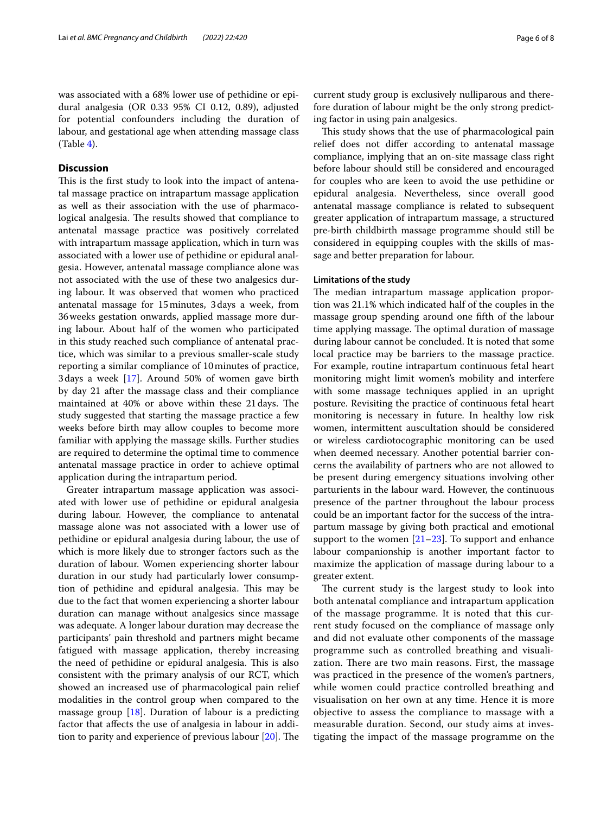was associated with a 68% lower use of pethidine or epidural analgesia (OR 0.33 95% CI 0.12, 0.89), adjusted for potential confounders including the duration of labour, and gestational age when attending massage class (Table [4](#page-4-2)).

## **Discussion**

This is the first study to look into the impact of antenatal massage practice on intrapartum massage application as well as their association with the use of pharmacological analgesia. The results showed that compliance to antenatal massage practice was positively correlated with intrapartum massage application, which in turn was associated with a lower use of pethidine or epidural analgesia. However, antenatal massage compliance alone was not associated with the use of these two analgesics during labour. It was observed that women who practiced antenatal massage for 15minutes, 3days a week, from 36weeks gestation onwards, applied massage more during labour. About half of the women who participated in this study reached such compliance of antenatal practice, which was similar to a previous smaller-scale study reporting a similar compliance of 10minutes of practice, 3days a week [[17\]](#page-7-2). Around 50% of women gave birth by day 21 after the massage class and their compliance maintained at 40% or above within these 21 days. The study suggested that starting the massage practice a few weeks before birth may allow couples to become more familiar with applying the massage skills. Further studies are required to determine the optimal time to commence antenatal massage practice in order to achieve optimal application during the intrapartum period.

Greater intrapartum massage application was associated with lower use of pethidine or epidural analgesia during labour. However, the compliance to antenatal massage alone was not associated with a lower use of pethidine or epidural analgesia during labour, the use of which is more likely due to stronger factors such as the duration of labour. Women experiencing shorter labour duration in our study had particularly lower consumption of pethidine and epidural analgesia. This may be due to the fact that women experiencing a shorter labour duration can manage without analgesics since massage was adequate. A longer labour duration may decrease the participants' pain threshold and partners might became fatigued with massage application, thereby increasing the need of pethidine or epidural analgesia. This is also consistent with the primary analysis of our RCT, which showed an increased use of pharmacological pain relief modalities in the control group when compared to the massage group [\[18](#page-7-3)]. Duration of labour is a predicting factor that afects the use of analgesia in labour in addition to parity and experience of previous labour  $[20]$  $[20]$ . The current study group is exclusively nulliparous and therefore duration of labour might be the only strong predicting factor in using pain analgesics.

This study shows that the use of pharmacological pain relief does not difer according to antenatal massage compliance, implying that an on-site massage class right before labour should still be considered and encouraged for couples who are keen to avoid the use pethidine or epidural analgesia. Nevertheless, since overall good antenatal massage compliance is related to subsequent greater application of intrapartum massage, a structured pre-birth childbirth massage programme should still be considered in equipping couples with the skills of massage and better preparation for labour.

#### **Limitations of the study**

The median intrapartum massage application proportion was 21.1% which indicated half of the couples in the massage group spending around one ffth of the labour time applying massage. The optimal duration of massage during labour cannot be concluded. It is noted that some local practice may be barriers to the massage practice. For example, routine intrapartum continuous fetal heart monitoring might limit women's mobility and interfere with some massage techniques applied in an upright posture. Revisiting the practice of continuous fetal heart monitoring is necessary in future. In healthy low risk women, intermittent auscultation should be considered or wireless cardiotocographic monitoring can be used when deemed necessary. Another potential barrier concerns the availability of partners who are not allowed to be present during emergency situations involving other parturients in the labour ward. However, the continuous presence of the partner throughout the labour process could be an important factor for the success of the intrapartum massage by giving both practical and emotional support to the women  $[21-23]$  $[21-23]$  $[21-23]$ . To support and enhance labour companionship is another important factor to maximize the application of massage during labour to a greater extent.

The current study is the largest study to look into both antenatal compliance and intrapartum application of the massage programme. It is noted that this current study focused on the compliance of massage only and did not evaluate other components of the massage programme such as controlled breathing and visualization. There are two main reasons. First, the massage was practiced in the presence of the women's partners, while women could practice controlled breathing and visualisation on her own at any time. Hence it is more objective to assess the compliance to massage with a measurable duration. Second, our study aims at investigating the impact of the massage programme on the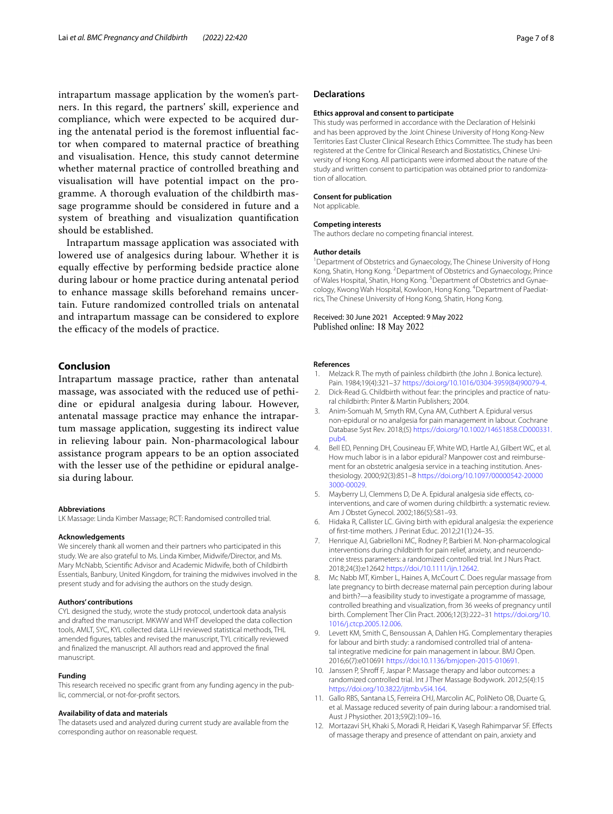intrapartum massage application by the women's partners. In this regard, the partners' skill, experience and compliance, which were expected to be acquired during the antenatal period is the foremost infuential factor when compared to maternal practice of breathing and visualisation. Hence, this study cannot determine whether maternal practice of controlled breathing and visualisation will have potential impact on the programme. A thorough evaluation of the childbirth massage programme should be considered in future and a system of breathing and visualization quantifcation should be established.

Intrapartum massage application was associated with lowered use of analgesics during labour. Whether it is equally efective by performing bedside practice alone during labour or home practice during antenatal period to enhance massage skills beforehand remains uncertain. Future randomized controlled trials on antenatal and intrapartum massage can be considered to explore the efficacy of the models of practice.

#### **Conclusion**

Intrapartum massage practice, rather than antenatal massage, was associated with the reduced use of pethidine or epidural analgesia during labour. However, antenatal massage practice may enhance the intrapartum massage application, suggesting its indirect value in relieving labour pain. Non-pharmacological labour assistance program appears to be an option associated with the lesser use of the pethidine or epidural analgesia during labour.

#### **Abbreviations**

LK Massage: Linda Kimber Massage; RCT: Randomised controlled trial.

#### **Acknowledgements**

We sincerely thank all women and their partners who participated in this study. We are also grateful to Ms. Linda Kimber, Midwife/Director, and Ms. Mary McNabb, Scientifc Advisor and Academic Midwife, both of Childbirth Essentials, Banbury, United Kingdom, for training the midwives involved in the present study and for advising the authors on the study design.

#### **Authors' contributions**

CYL designed the study, wrote the study protocol, undertook data analysis and drafted the manuscript. MKWW and WHT developed the data collection tools, AMLT, SYC, KYL collected data. LLH reviewed statistical methods, THL amended fgures, tables and revised the manuscript, TYL critically reviewed and fnalized the manuscript. All authors read and approved the fnal manuscript.

#### **Funding**

This research received no specifc grant from any funding agency in the public, commercial, or not-for-proft sectors.

#### **Availability of data and materials**

The datasets used and analyzed during current study are available from the corresponding author on reasonable request.

#### **Declarations**

#### **Ethics approval and consent to participate**

This study was performed in accordance with the Declaration of Helsinki and has been approved by the Joint Chinese University of Hong Kong-New Territories East Cluster Clinical Research Ethics Committee. The study has been registered at the Centre for Clinical Research and Biostatistics, Chinese University of Hong Kong. All participants were informed about the nature of the study and written consent to participation was obtained prior to randomization of allocation.

#### **Consent for publication**

Not applicable.

#### **Competing interests**

The authors declare no competing fnancial interest.

#### **Author details**

<sup>1</sup> Department of Obstetrics and Gynaecology, The Chinese University of Hong Kong, Shatin, Hong Kong. <sup>2</sup> Department of Obstetrics and Gynaecology, Prince of Wales Hospital, Shatin, Hong Kong. <sup>3</sup> Department of Obstetrics and Gynaecology, Kwong Wah Hospital, Kowloon, Hong Kong. <sup>4</sup>Department of Paediatrics, The Chinese University of Hong Kong, Shatin, Hong Kong.

Received: 30 June 2021 Accepted: 9 May 2022 Published online: 18 May 2022

#### **References**

- <span id="page-6-0"></span>Melzack R. The myth of painless childbirth (the John J. Bonica lecture). Pain. 1984;19(4):321–37 [https://doi.org/10.1016/0304-3959\(84\)90079-4.](https://doi.org/10.1016/0304-3959(84)90079-4)
- <span id="page-6-1"></span>2. Dick-Read G. Childbirth without fear: the principles and practice of natural childbirth: Pinter & Martin Publishers; 2004.
- <span id="page-6-2"></span>3. Anim-Somuah M, Smyth RM, Cyna AM, Cuthbert A. Epidural versus non-epidural or no analgesia for pain management in labour. Cochrane Database Syst Rev. 2018;(5) [https://doi.org/10.1002/14651858.CD000331.](https://doi.org/10.1002/14651858.CD000331.pub4) [pub4.](https://doi.org/10.1002/14651858.CD000331.pub4)
- <span id="page-6-3"></span>4. Bell ED, Penning DH, Cousineau EF, White WD, Hartle AJ, Gilbert WC, et al. How much labor is in a labor epidural? Manpower cost and reimbursement for an obstetric analgesia service in a teaching institution. Anesthesiology. 2000;92(3):851–8 [https://doi.org/10.1097/00000542-20000](https://doi.org/10.1097/00000542-200003000-00029) [3000-00029.](https://doi.org/10.1097/00000542-200003000-00029)
- <span id="page-6-4"></span>5. Mayberry LJ, Clemmens D, De A. Epidural analgesia side effects, cointerventions, and care of women during childbirth: a systematic review. Am J Obstet Gynecol. 2002;186(5):S81–93.
- <span id="page-6-5"></span>6. Hidaka R, Callister LC. Giving birth with epidural analgesia: the experience of frst-time mothers. J Perinat Educ. 2012;21(1):24–35.
- <span id="page-6-6"></span>7. Henrique AJ, Gabrielloni MC, Rodney P, Barbieri M. Non-pharmacological interventions during childbirth for pain relief, anxiety, and neuroendocrine stress parameters: a randomized controlled trial. Int J Nurs Pract. 2018;24(3):e12642 [https://doi./10.1111/ijn.12642.](http://dx.doi.org/10.1111/ijn.12642)
- <span id="page-6-7"></span>8. Mc Nabb MT, Kimber L, Haines A, McCourt C. Does regular massage from late pregnancy to birth decrease maternal pain perception during labour and birth?—a feasibility study to investigate a programme of massage, controlled breathing and visualization, from 36 weeks of pregnancy until birth. Complement Ther Clin Pract. 2006;12(3):222–31 [https://doi.org/10.](https://doi.org/10.1016/j.ctcp.2005.12.006) [1016/j.ctcp.2005.12.006.](https://doi.org/10.1016/j.ctcp.2005.12.006)
- <span id="page-6-8"></span>9. Levett KM, Smith C, Bensoussan A, Dahlen HG. Complementary therapies for labour and birth study: a randomised controlled trial of antenatal integrative medicine for pain management in labour. BMJ Open. 2016;6(7):e010691 [https://doi:10.1136/bmjopen-2015-010691](http://dx.doi.org/10.1136/bmjopen-2015-010691).
- <span id="page-6-9"></span>10. Janssen P, Shroff F, Jaspar P. Massage therapy and labor outcomes: a randomized controlled trial. Int J Ther Massage Bodywork. 2012;5(4):15 <https://doi.org/10.3822/ijtmb.v5i4.164>.
- <span id="page-6-10"></span>11. Gallo RBS, Santana LS, Ferreira CHJ, Marcolin AC, PoliNeto OB, Duarte G, et al. Massage reduced severity of pain during labour: a randomised trial. Aust J Physiother. 2013;59(2):109–16.
- 12. Mortazavi SH, Khaki S, Moradi R, Heidari K, Vasegh Rahimparvar SF. Efects of massage therapy and presence of attendant on pain, anxiety and